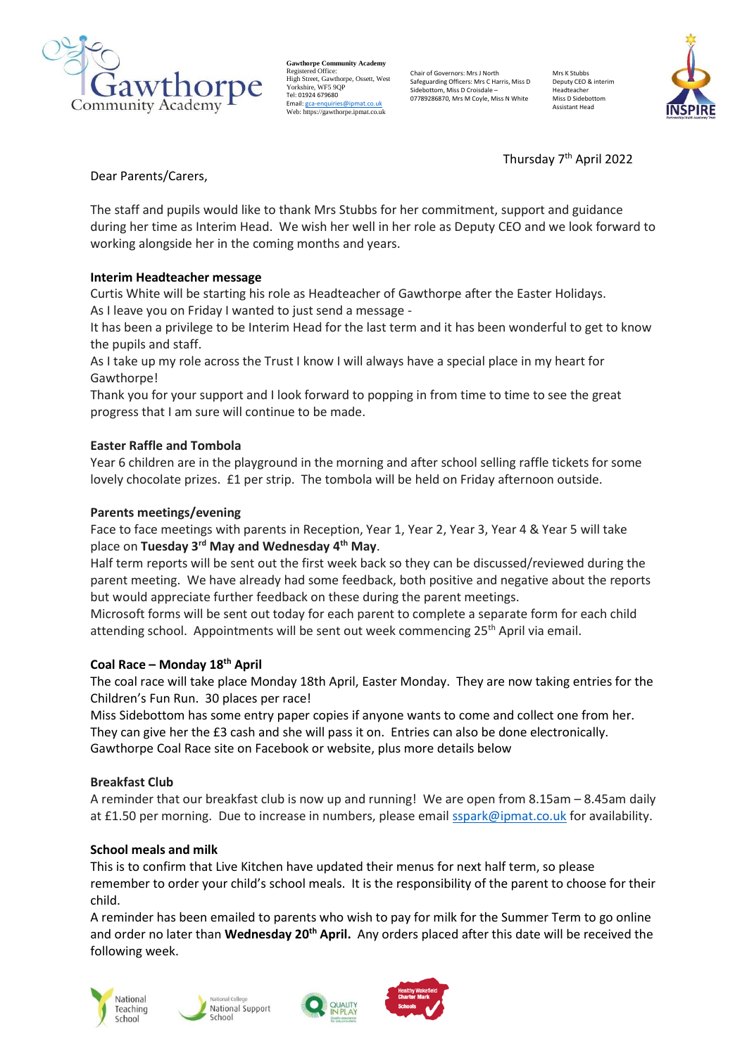

**Gawthorpe Community Academy** Registered Office: High Street, Gawthorpe, Ossett, West rngn birce, Guwino<br>Yorkshire, WF5 9∩I Tel: 01924 679680 Email[: gca-enquiries@ipmat.co.uk](mailto:gca-enquiries@ipmat.co.uk) Web: https://gawthorpe.ipmat.co.uk

Chair of Governors: Mrs J North Safeguarding Officers: Mrs C Harris, Miss D Sidebottom, Miss D Croisdale – 07789286870, Mrs M Coyle, Miss N White

Mrs K Stubb Deputy CEO & interim Headteacher Miss D Sidebott Assistant Head



Thursday 7<sup>th</sup> April 2022

Dear Parents/Carers,

The staff and pupils would like to thank Mrs Stubbs for her commitment, support and guidance during her time as Interim Head. We wish her well in her role as Deputy CEO and we look forward to working alongside her in the coming months and years.

# **Interim Headteacher message**

Curtis White will be starting his role as Headteacher of Gawthorpe after the Easter Holidays. As I leave you on Friday I wanted to just send a message -

It has been a privilege to be Interim Head for the last term and it has been wonderful to get to know the pupils and staff.

As I take up my role across the Trust I know I will always have a special place in my heart for Gawthorpe!

Thank you for your support and I look forward to popping in from time to time to see the great progress that I am sure will continue to be made.

# **Easter Raffle and Tombola**

Year 6 children are in the playground in the morning and after school selling raffle tickets for some lovely chocolate prizes. £1 per strip. The tombola will be held on Friday afternoon outside.

### **Parents meetings/evening**

Face to face meetings with parents in Reception, Year 1, Year 2, Year 3, Year 4 & Year 5 will take place on **Tuesday 3rd May and Wednesday 4th May**.

Half term reports will be sent out the first week back so they can be discussed/reviewed during the parent meeting. We have already had some feedback, both positive and negative about the reports but would appreciate further feedback on these during the parent meetings.

Microsoft forms will be sent out today for each parent to complete a separate form for each child attending school. Appointments will be sent out week commencing 25th April via email.

#### **Coal Race – Monday 18th April**

The coal race will take place Monday 18th April, Easter Monday. They are now taking entries for the Children's Fun Run. 30 places per race!

Miss Sidebottom has some entry paper copies if anyone wants to come and collect one from her. They can give her the £3 cash and she will pass it on. Entries can also be done electronically. Gawthorpe Coal Race site on Facebook or website, plus more details below

# **Breakfast Club**

A reminder that our breakfast club is now up and running! We are open from 8.15am – 8.45am daily at £1.50 per morning. Due to increase in numbers, please emai[l sspark@ipmat.co.uk](mailto:sspark@ipmat.co.uk) for availability.

#### **School meals and milk**

This is to confirm that Live Kitchen have updated their menus for next half term, so please remember to order your child's school meals. It is the responsibility of the parent to choose for their child.

A reminder has been emailed to parents who wish to pay for milk for the Summer Term to go online and order no later than **Wednesday 20th April.** Any orders placed after this date will be received the following week.